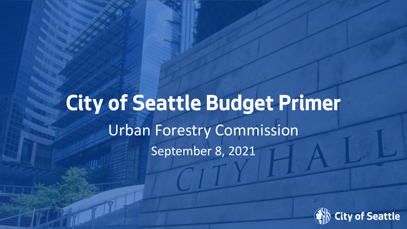# **City of Seattle Budget Primer** Urban Forestry Commission September 8, 2021

Date (xx/xx/ **Date (xx/xx/** xxxx**xxxx** ) **)** Department Name Page Number **Innovation & Performance** 

**Innovation & Performance** 

 $\mathbb{E}[\mathbf{x}^*]$ 

 $\blacksquare$ 

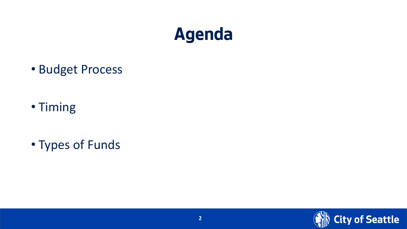#### **Agenda**

• Budget Process

- Timing
- Types of Funds

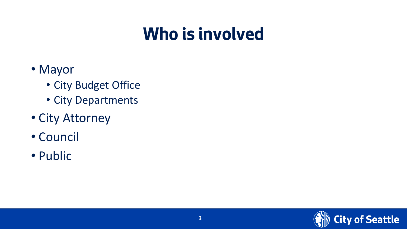#### **Who is involved**

- Mayor
	- City Budget Office
	- City Departments
- City Attorney
- Council
- Public

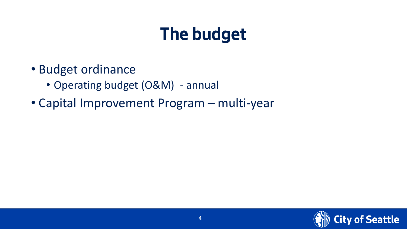## **The budget**

- Budget ordinance
	- Operating budget (O&M) annual
- Capital Improvement Program multi-year

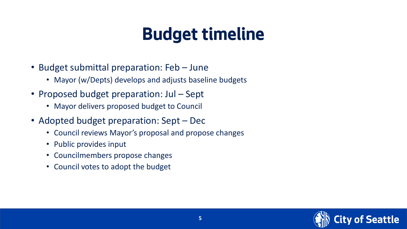#### **Budget timeline**

- Budget submittal preparation: Feb June
	- Mayor (w/Depts) develops and adjusts baseline budgets
- Proposed budget preparation: Jul Sept
	- Mayor delivers proposed budget to Council
- Adopted budget preparation: Sept Dec
	- Council reviews Mayor's proposal and propose changes
	- Public provides input
	- Councilmembers propose changes
	- Council votes to adopt the budget

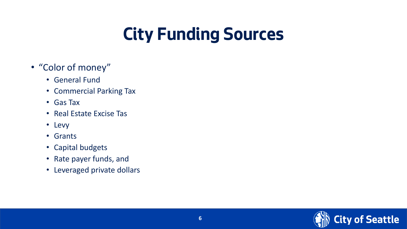## **City Funding Sources**

- "Color of money"
	- General Fund
	- Commercial Parking Tax
	- Gas Tax
	- Real Estate Excise Tas
	- Levy
	- Grants
	- Capital budgets
	- Rate payer funds, and
	- Leveraged private dollars

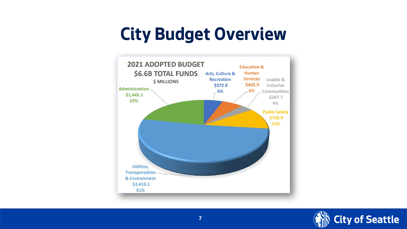#### **City Budget Overview**